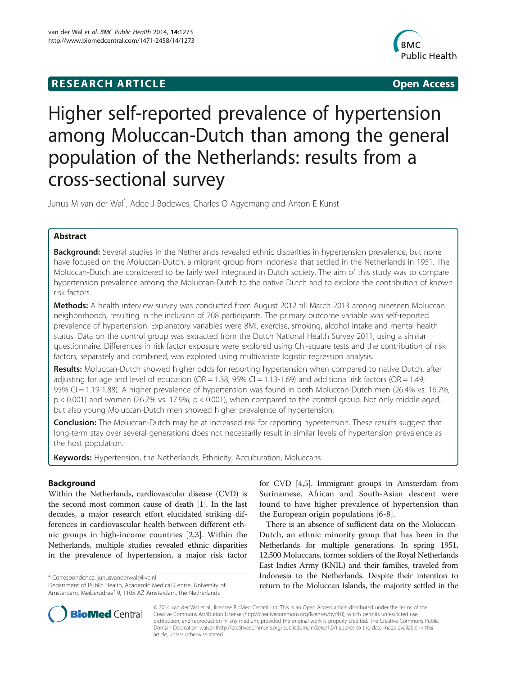# **RESEARCH ARTICLE Example 2014 12:30 The SEAR CHIPS 2014 12:30 The Open Access**



# Higher self-reported prevalence of hypertension among Moluccan-Dutch than among the general population of the Netherlands: results from a cross-sectional survey

Junus M van der Wal\* , Adee J Bodewes, Charles O Agyemang and Anton E Kunst

# Abstract

**Background:** Several studies in the Netherlands revealed ethnic disparities in hypertension prevalence, but none have focused on the Moluccan-Dutch, a migrant group from Indonesia that settled in the Netherlands in 1951. The Moluccan-Dutch are considered to be fairly well integrated in Dutch society. The aim of this study was to compare hypertension prevalence among the Moluccan-Dutch to the native Dutch and to explore the contribution of known risk factors.

Methods: A health interview survey was conducted from August 2012 till March 2013 among nineteen Moluccan neighborhoods, resulting in the inclusion of 708 participants. The primary outcome variable was self-reported prevalence of hypertension. Explanatory variables were BMI, exercise, smoking, alcohol intake and mental health status. Data on the control group was extracted from the Dutch National Health Survey 2011, using a similar questionnaire. Differences in risk factor exposure were explored using Chi-square tests and the contribution of risk factors, separately and combined, was explored using multivariate logistic regression analysis.

Results: Moluccan-Dutch showed higher odds for reporting hypertension when compared to native Dutch, after adjusting for age and level of education ( $OR = 1.38$ ;  $95\%$  CI = 1.13-1.69) and additional risk factors ( $OR = 1.49$ ; 95% CI = 1.19-1.88). A higher prevalence of hypertension was found in both Moluccan-Dutch men (26.4% vs. 16.7%;  $p < 0.001$ ) and women (26.7% vs. 17.9%;  $p < 0.001$ ), when compared to the control group. Not only middle-aged, but also young Moluccan-Dutch men showed higher prevalence of hypertension.

**Conclusion:** The Moluccan-Dutch may be at increased risk for reporting hypertension. These results suggest that long-term stay over several generations does not necessarily result in similar levels of hypertension prevalence as the host population.

Keywords: Hypertension, the Netherlands, Ethnicity, Acculturation, Moluccans

# Background

Within the Netherlands, cardiovascular disease (CVD) is the second most common cause of death [\[1](#page-6-0)]. In the last decades, a major research effort elucidated striking differences in cardiovascular health between different ethnic groups in high-income countries [[2,3](#page-6-0)]. Within the Netherlands, multiple studies revealed ethnic disparities in the prevalence of hypertension, a major risk factor

\* Correspondence: [junusvanderwal@live.nl](mailto:junusvanderwal@live.nl)

for CVD [[4,5](#page-6-0)]. Immigrant groups in Amsterdam from Surinamese, African and South-Asian descent were found to have higher prevalence of hypertension than the European origin populations [\[6](#page-6-0)-[8\]](#page-6-0).

There is an absence of sufficient data on the Moluccan-Dutch, an ethnic minority group that has been in the Netherlands for multiple generations. In spring 1951, 12,500 Moluccans, former soldiers of the Royal Netherlands East Indies Army (KNIL) and their families, traveled from Indonesia to the Netherlands. Despite their intention to return to the Moluccan Islands, the majority settled in the



© 2014 van der Wal et al.; licensee BioMed Central Ltd. This is an Open Access article distributed under the terms of the Creative Commons Attribution License (<http://creativecommons.org/licenses/by/4.0>), which permits unrestricted use, distribution, and reproduction in any medium, provided the original work is properly credited. The Creative Commons Public Domain Dedication waiver [\(http://creativecommons.org/publicdomain/zero/1.0/\)](http://creativecommons.org/publicdomain/zero/1.0/) applies to the data made available in this article, unless otherwise stated.

Department of Public Health, Academic Medical Centre, University of Amsterdam, Meibergdreef 9, 1105 AZ Amsterdam, the Netherlands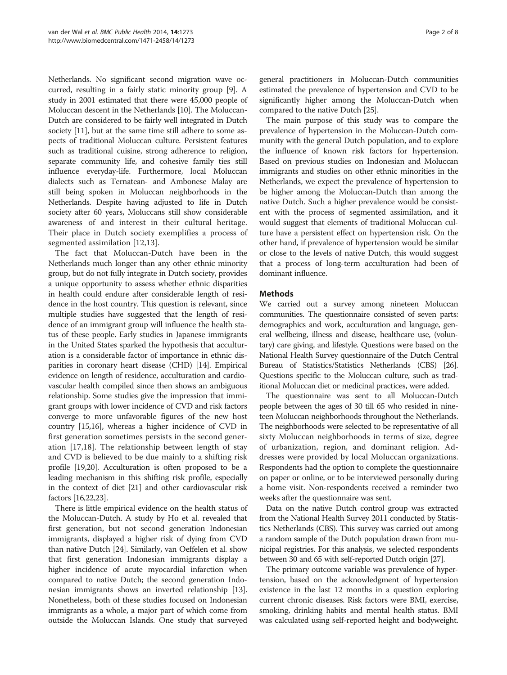Netherlands. No significant second migration wave occurred, resulting in a fairly static minority group [\[9\]](#page-6-0). A study in 2001 estimated that there were 45,000 people of Moluccan descent in the Netherlands [\[10](#page-6-0)]. The Moluccan-Dutch are considered to be fairly well integrated in Dutch society [\[11\]](#page-6-0), but at the same time still adhere to some aspects of traditional Moluccan culture. Persistent features such as traditional cuisine, strong adherence to religion, separate community life, and cohesive family ties still influence everyday-life. Furthermore, local Moluccan dialects such as Ternatean- and Ambonese Malay are still being spoken in Moluccan neighborhoods in the Netherlands. Despite having adjusted to life in Dutch society after 60 years, Moluccans still show considerable awareness of and interest in their cultural heritage. Their place in Dutch society exemplifies a process of segmented assimilation [[12,13\]](#page-6-0).

The fact that Moluccan-Dutch have been in the Netherlands much longer than any other ethnic minority group, but do not fully integrate in Dutch society, provides a unique opportunity to assess whether ethnic disparities in health could endure after considerable length of residence in the host country. This question is relevant, since multiple studies have suggested that the length of residence of an immigrant group will influence the health status of these people. Early studies in Japanese immigrants in the United States sparked the hypothesis that acculturation is a considerable factor of importance in ethnic disparities in coronary heart disease (CHD) [\[14\]](#page-6-0). Empirical evidence on length of residence, acculturation and cardiovascular health compiled since then shows an ambiguous relationship. Some studies give the impression that immigrant groups with lower incidence of CVD and risk factors converge to more unfavorable figures of the new host country [\[15,16\]](#page-6-0), whereas a higher incidence of CVD in first generation sometimes persists in the second generation [[17,18\]](#page-6-0). The relationship between length of stay and CVD is believed to be due mainly to a shifting risk profile [\[19,20](#page-6-0)]. Acculturation is often proposed to be a leading mechanism in this shifting risk profile, especially in the context of diet [[21](#page-6-0)] and other cardiovascular risk factors [\[16,22,23\]](#page-6-0).

There is little empirical evidence on the health status of the Moluccan-Dutch. A study by Ho et al. revealed that first generation, but not second generation Indonesian immigrants, displayed a higher risk of dying from CVD than native Dutch [[24](#page-6-0)]. Similarly, van Oeffelen et al. show that first generation Indonesian immigrants display a higher incidence of acute myocardial infarction when compared to native Dutch; the second generation Indonesian immigrants shows an inverted relationship [[13](#page-6-0)]. Nonetheless, both of these studies focused on Indonesian immigrants as a whole, a major part of which come from outside the Moluccan Islands. One study that surveyed

general practitioners in Moluccan-Dutch communities estimated the prevalence of hypertension and CVD to be significantly higher among the Moluccan-Dutch when compared to the native Dutch [\[25\]](#page-6-0).

The main purpose of this study was to compare the prevalence of hypertension in the Moluccan-Dutch community with the general Dutch population, and to explore the influence of known risk factors for hypertension. Based on previous studies on Indonesian and Moluccan immigrants and studies on other ethnic minorities in the Netherlands, we expect the prevalence of hypertension to be higher among the Moluccan-Dutch than among the native Dutch. Such a higher prevalence would be consistent with the process of segmented assimilation, and it would suggest that elements of traditional Moluccan culture have a persistent effect on hypertension risk. On the other hand, if prevalence of hypertension would be similar or close to the levels of native Dutch, this would suggest that a process of long-term acculturation had been of dominant influence.

# **Methods**

We carried out a survey among nineteen Moluccan communities. The questionnaire consisted of seven parts: demographics and work, acculturation and language, general wellbeing, illness and disease, healthcare use, (voluntary) care giving, and lifestyle. Questions were based on the National Health Survey questionnaire of the Dutch Central Bureau of Statistics/Statistics Netherlands (CBS) [\[26](#page-6-0)]. Questions specific to the Moluccan culture, such as traditional Moluccan diet or medicinal practices, were added.

The questionnaire was sent to all Moluccan-Dutch people between the ages of 30 till 65 who resided in nineteen Moluccan neighborhoods throughout the Netherlands. The neighborhoods were selected to be representative of all sixty Moluccan neighborhoods in terms of size, degree of urbanization, region, and dominant religion. Addresses were provided by local Moluccan organizations. Respondents had the option to complete the questionnaire on paper or online, or to be interviewed personally during a home visit. Non-respondents received a reminder two weeks after the questionnaire was sent.

Data on the native Dutch control group was extracted from the National Health Survey 2011 conducted by Statistics Netherlands (CBS). This survey was carried out among a random sample of the Dutch population drawn from municipal registries. For this analysis, we selected respondents between 30 and 65 with self-reported Dutch origin [[27](#page-6-0)].

The primary outcome variable was prevalence of hypertension, based on the acknowledgment of hypertension existence in the last 12 months in a question exploring current chronic diseases. Risk factors were BMI, exercise, smoking, drinking habits and mental health status. BMI was calculated using self-reported height and bodyweight.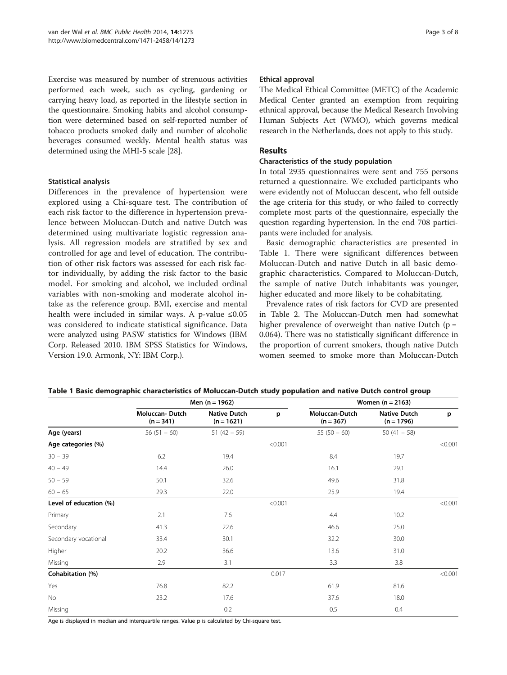Exercise was measured by number of strenuous activities performed each week, such as cycling, gardening or carrying heavy load, as reported in the lifestyle section in the questionnaire. Smoking habits and alcohol consumption were determined based on self-reported number of tobacco products smoked daily and number of alcoholic beverages consumed weekly. Mental health status was determined using the MHI-5 scale [\[28](#page-6-0)].

# Statistical analysis

Differences in the prevalence of hypertension were explored using a Chi-square test. The contribution of each risk factor to the difference in hypertension prevalence between Moluccan-Dutch and native Dutch was determined using multivariate logistic regression analysis. All regression models are stratified by sex and controlled for age and level of education. The contribution of other risk factors was assessed for each risk factor individually, by adding the risk factor to the basic model. For smoking and alcohol, we included ordinal variables with non-smoking and moderate alcohol intake as the reference group. BMI, exercise and mental health were included in similar ways. A p-value  $\leq 0.05$ was considered to indicate statistical significance. Data were analyzed using PASW statistics for Windows (IBM Corp. Released 2010. IBM SPSS Statistics for Windows, Version 19.0. Armonk, NY: IBM Corp.).

#### Ethical approval

The Medical Ethical Committee (METC) of the Academic Medical Center granted an exemption from requiring ethnical approval, because the Medical Research Involving Human Subjects Act (WMO), which governs medical research in the Netherlands, does not apply to this study.

# Results

#### Characteristics of the study population

In total 2935 questionnaires were sent and 755 persons returned a questionnaire. We excluded participants who were evidently not of Moluccan descent, who fell outside the age criteria for this study, or who failed to correctly complete most parts of the questionnaire, especially the question regarding hypertension. In the end 708 participants were included for analysis.

Basic demographic characteristics are presented in Table 1. There were significant differences between Moluccan-Dutch and native Dutch in all basic demographic characteristics. Compared to Moluccan-Dutch, the sample of native Dutch inhabitants was younger, higher educated and more likely to be cohabitating.

Prevalence rates of risk factors for CVD are presented in Table [2](#page-3-0). The Moluccan-Dutch men had somewhat higher prevalence of overweight than native Dutch ( $p =$ 0.064). There was no statistically significant difference in the proportion of current smokers, though native Dutch women seemed to smoke more than Moluccan-Dutch

|                        | Men (n = 1962)                |                                     |         | Women $(n = 2163)$            |                                     |         |  |
|------------------------|-------------------------------|-------------------------------------|---------|-------------------------------|-------------------------------------|---------|--|
|                        | Moluccan-Dutch<br>$(n = 341)$ | <b>Native Dutch</b><br>$(n = 1621)$ | p       | Moluccan-Dutch<br>$(n = 367)$ | <b>Native Dutch</b><br>$(n = 1796)$ | p       |  |
| Age (years)            | 56 $(51 - 60)$                | $51(42 - 59)$                       |         | 55 $(50 - 60)$                | $50(41 - 58)$                       |         |  |
| Age categories (%)     |                               |                                     | < 0.001 |                               |                                     | < 0.001 |  |
| $30 - 39$              | 6.2                           | 19.4                                |         | 8.4                           | 19.7                                |         |  |
| $40 - 49$              | 14.4                          | 26.0                                |         | 16.1                          | 29.1                                |         |  |
| $50 - 59$              | 50.1                          | 32.6                                |         | 49.6                          | 31.8                                |         |  |
| $60 - 65$              | 29.3                          | 22.0                                |         | 25.9                          | 19.4                                |         |  |
| Level of education (%) |                               |                                     | < 0.001 |                               |                                     | < 0.001 |  |
| Primary                | 2.1                           | 7.6                                 |         | 4.4                           | 10.2                                |         |  |
| Secondary              | 41.3                          | 22.6                                |         | 46.6                          | 25.0                                |         |  |
| Secondary vocational   | 33.4                          | 30.1                                |         | 32.2                          | 30.0                                |         |  |
| Higher                 | 20.2                          | 36.6                                |         | 13.6                          | 31.0                                |         |  |
| Missing                | 2.9                           | 3.1                                 |         | 3.3                           | 3.8                                 |         |  |
| Cohabitation (%)       |                               |                                     | 0.017   |                               |                                     | < 0.001 |  |
| Yes                    | 76.8                          | 82.2                                |         | 61.9                          | 81.6                                |         |  |
| <b>No</b>              | 23.2                          | 17.6                                |         | 37.6                          | 18.0                                |         |  |
| Missing                |                               | 0.2                                 |         | 0.5                           | 0.4                                 |         |  |

Table 1 Basic demographic characteristics of Moluccan-Dutch study population and native Dutch control group

Age is displayed in median and interquartile ranges. Value p is calculated by Chi-square test.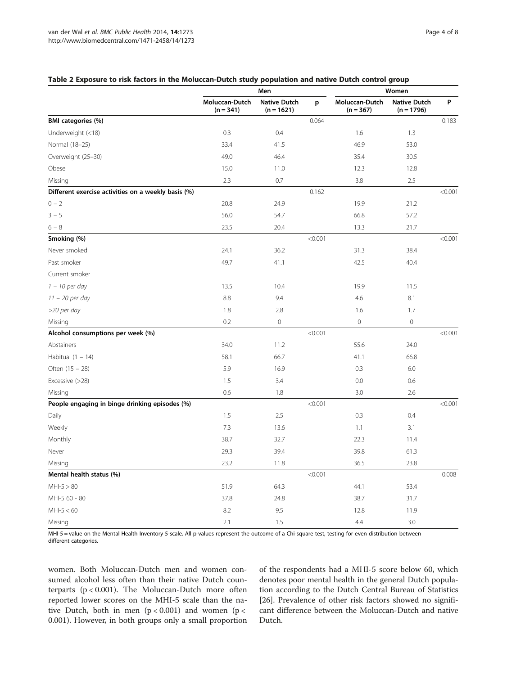## <span id="page-3-0"></span>Table 2 Exposure to risk factors in the Moluccan-Dutch study population and native Dutch control group

|                                                     | Men                           |                                     |         | Women                         |                                     |         |
|-----------------------------------------------------|-------------------------------|-------------------------------------|---------|-------------------------------|-------------------------------------|---------|
|                                                     | Moluccan-Dutch<br>$(n = 341)$ | <b>Native Dutch</b><br>$(n = 1621)$ | p       | Moluccan-Dutch<br>$(n = 367)$ | <b>Native Dutch</b><br>$(n = 1796)$ | P       |
| BMI categories (%)                                  |                               |                                     | 0.064   |                               |                                     | 0.183   |
| Underweight (<18)                                   | 0.3                           | 0.4                                 |         | 1.6                           | 1.3                                 |         |
| Normal (18-25)                                      | 33.4                          | 41.5                                |         | 46.9                          | 53.0                                |         |
| Overweight (25-30)                                  | 49.0                          | 46.4                                |         | 35.4                          | 30.5                                |         |
| Obese                                               | 15.0                          | 11.0                                |         | 12.3                          | 12.8                                |         |
| Missing                                             | 2.3                           | $0.7\,$                             |         | 3.8                           | 2.5                                 |         |
| Different exercise activities on a weekly basis (%) |                               |                                     | 0.162   |                               |                                     | < 0.001 |
| $0 - 2$                                             | 20.8                          | 24.9                                |         | 19.9                          | 21.2                                |         |
| $3 - 5$                                             | 56.0                          | 54.7                                |         | 66.8                          | 57.2                                |         |
| $6 - 8$                                             | 23.5                          | 20.4                                |         | 13.3                          | 21.7                                |         |
| Smoking (%)                                         |                               |                                     | < 0.001 |                               |                                     | < 0.001 |
| Never smoked                                        | 24.1                          | 36.2                                |         | 31.3                          | 38.4                                |         |
| Past smoker                                         | 49.7                          | 41.1                                |         | 42.5                          | 40.4                                |         |
| Current smoker                                      |                               |                                     |         |                               |                                     |         |
| $1 - 10$ per day                                    | 13.5                          | 10.4                                |         | 19.9                          | 11.5                                |         |
| 11 - 20 per day                                     | 8.8                           | 9.4                                 |         | 4.6                           | 8.1                                 |         |
| >20 per day                                         | 1.8                           | 2.8                                 |         | 1.6                           | 1.7                                 |         |
| Missing                                             | 0.2                           | $\mathbf 0$                         |         | $\mathbf 0$                   | $\mathbf 0$                         |         |
| Alcohol consumptions per week (%)                   |                               |                                     | < 0.001 |                               |                                     | < 0.001 |
| Abstainers                                          | 34.0                          | 11.2                                |         | 55.6                          | 24.0                                |         |
| Habitual $(1 - 14)$                                 | 58.1                          | 66.7                                |         | 41.1                          | 66.8                                |         |
| Often (15 - 28)                                     | 5.9                           | 16.9                                |         | 0.3                           | 6.0                                 |         |
| Excessive (>28)                                     | 1.5                           | 3.4                                 |         | 0.0                           | 0.6                                 |         |
| Missing                                             | 0.6                           | 1.8                                 |         | 3.0                           | 2.6                                 |         |
| People engaging in binge drinking episodes (%)      |                               |                                     | < 0.001 |                               |                                     | < 0.001 |
| Daily                                               | 1.5                           | 2.5                                 |         | 0.3                           | 0.4                                 |         |
| Weekly                                              | 7.3                           | 13.6                                |         | 1.1                           | 3.1                                 |         |
| Monthly                                             | 38.7                          | 32.7                                |         | 22.3                          | 11.4                                |         |
| Never                                               | 29.3                          | 39.4                                |         | 39.8                          | 61.3                                |         |
| Missing                                             | 23.2                          | 11.8                                |         | 36.5                          | 23.8                                |         |
| Mental health status (%)                            |                               |                                     | < 0.001 |                               |                                     | 0.008   |
| $MHI-5 > 80$                                        | 51.9                          | 64.3                                |         | 44.1                          | 53.4                                |         |
| MHI-5 60 - 80                                       | 37.8                          | 24.8                                |         | 38.7                          | 31.7                                |         |
| $MHI-5 < 60$                                        | 8.2                           | 9.5                                 |         | 12.8                          | 11.9                                |         |
| Missing                                             | 2.1                           | 1.5                                 |         | 4.4                           | 3.0                                 |         |

MHI-5 = value on the Mental Health Inventory 5-scale. All p-values represent the outcome of a Chi-square test, testing for even distribution between different categories.

women. Both Moluccan-Dutch men and women consumed alcohol less often than their native Dutch counterparts  $(p < 0.001)$ . The Moluccan-Dutch more often reported lower scores on the MHI-5 scale than the native Dutch, both in men  $(p < 0.001)$  and women  $(p < 0.001)$ 0.001). However, in both groups only a small proportion of the respondents had a MHI-5 score below 60, which denotes poor mental health in the general Dutch population according to the Dutch Central Bureau of Statistics [[26\]](#page-6-0). Prevalence of other risk factors showed no significant difference between the Moluccan-Dutch and native Dutch.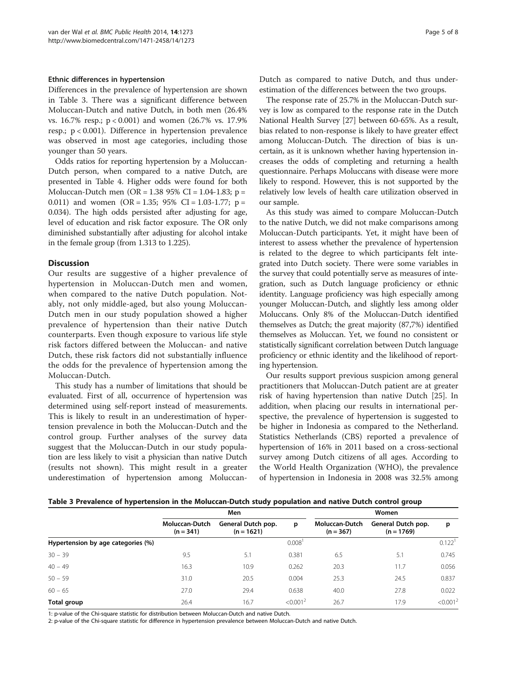#### Ethnic differences in hypertension

Differences in the prevalence of hypertension are shown in Table 3. There was a significant difference between Moluccan-Dutch and native Dutch, in both men (26.4% vs. 16.7% resp.; p < 0.001) and women (26.7% vs. 17.9% resp.; p < 0.001). Difference in hypertension prevalence was observed in most age categories, including those younger than 50 years.

Odds ratios for reporting hypertension by a Moluccan-Dutch person, when compared to a native Dutch, are presented in Table [4](#page-5-0). Higher odds were found for both Moluccan-Dutch men (OR = 1.38 95% CI = 1.04-1.83; p = 0.011) and women  $(OR = 1.35; 95\% \text{ CI} = 1.03-1.77; p =$ 0.034). The high odds persisted after adjusting for age, level of education and risk factor exposure. The OR only diminished substantially after adjusting for alcohol intake in the female group (from 1.313 to 1.225).

## **Discussion**

Our results are suggestive of a higher prevalence of hypertension in Moluccan-Dutch men and women, when compared to the native Dutch population. Notably, not only middle-aged, but also young Moluccan-Dutch men in our study population showed a higher prevalence of hypertension than their native Dutch counterparts. Even though exposure to various life style risk factors differed between the Moluccan- and native Dutch, these risk factors did not substantially influence the odds for the prevalence of hypertension among the Moluccan-Dutch.

This study has a number of limitations that should be evaluated. First of all, occurrence of hypertension was determined using self-report instead of measurements. This is likely to result in an underestimation of hypertension prevalence in both the Moluccan-Dutch and the control group. Further analyses of the survey data suggest that the Moluccan-Dutch in our study population are less likely to visit a physician than native Dutch (results not shown). This might result in a greater underestimation of hypertension among Moluccan-

The response rate of 25.7% in the Moluccan-Dutch survey is low as compared to the response rate in the Dutch National Health Survey [[27](#page-6-0)] between 60-65%. As a result, bias related to non-response is likely to have greater effect among Moluccan-Dutch. The direction of bias is uncertain, as it is unknown whether having hypertension increases the odds of completing and returning a health questionnaire. Perhaps Moluccans with disease were more likely to respond. However, this is not supported by the relatively low levels of health care utilization observed in our sample.

As this study was aimed to compare Moluccan-Dutch to the native Dutch, we did not make comparisons among Moluccan-Dutch participants. Yet, it might have been of interest to assess whether the prevalence of hypertension is related to the degree to which participants felt integrated into Dutch society. There were some variables in the survey that could potentially serve as measures of integration, such as Dutch language proficiency or ethnic identity. Language proficiency was high especially among younger Moluccan-Dutch, and slightly less among older Moluccans. Only 8% of the Moluccan-Dutch identified themselves as Dutch; the great majority (87,7%) identified themselves as Moluccan. Yet, we found no consistent or statistically significant correlation between Dutch language proficiency or ethnic identity and the likelihood of reporting hypertension.

Our results support previous suspicion among general practitioners that Moluccan-Dutch patient are at greater risk of having hypertension than native Dutch [\[25](#page-6-0)]. In addition, when placing our results in international perspective, the prevalence of hypertension is suggested to be higher in Indonesia as compared to the Netherland. Statistics Netherlands (CBS) reported a prevalence of hypertension of 16% in 2011 based on a cross-sectional survey among Dutch citizens of all ages. According to the World Health Organization (WHO), the prevalence of hypertension in Indonesia in 2008 was 32.5% among

| Table 3 Prevalence of hypertension in the Moluccan-Dutch study population and native Dutch control group |  |  |  |
|----------------------------------------------------------------------------------------------------------|--|--|--|
|----------------------------------------------------------------------------------------------------------|--|--|--|

|                                    | Men                           |                                    |                      | Women                         |                                    |                      |  |
|------------------------------------|-------------------------------|------------------------------------|----------------------|-------------------------------|------------------------------------|----------------------|--|
|                                    | Moluccan-Dutch<br>$(n = 341)$ | General Dutch pop.<br>$(n = 1621)$ | р                    | Moluccan-Dutch<br>$(n = 367)$ | General Dutch pop.<br>$(n = 1769)$ | p                    |  |
| Hypertension by age categories (%) |                               |                                    | 0.008                |                               |                                    | $0.122$ <sup>1</sup> |  |
| $30 - 39$                          | 9.5                           | 5.1                                | 0.381                | 6.5                           | 5.1                                | 0.745                |  |
| $40 - 49$                          | 16.3                          | 10.9                               | 0.262                | 20.3                          | 11.7                               | 0.056                |  |
| $50 - 59$                          | 31.0                          | 20.5                               | 0.004                | 25.3                          | 24.5                               | 0.837                |  |
| $60 - 65$                          | 27.0                          | 29.4                               | 0.638                | 40.0                          | 27.8                               | 0.022                |  |
| Total group                        | 26.4                          | 16.7                               | < 0.001 <sup>2</sup> | 26.7                          | 17.9                               | < 0.001 <sup>2</sup> |  |

1: p-value of the Chi-square statistic for distribution between Moluccan-Dutch and native Dutch.

2: p-value of the Chi-square statistic for difference in hypertension prevalence between Moluccan-Dutch and native Dutch.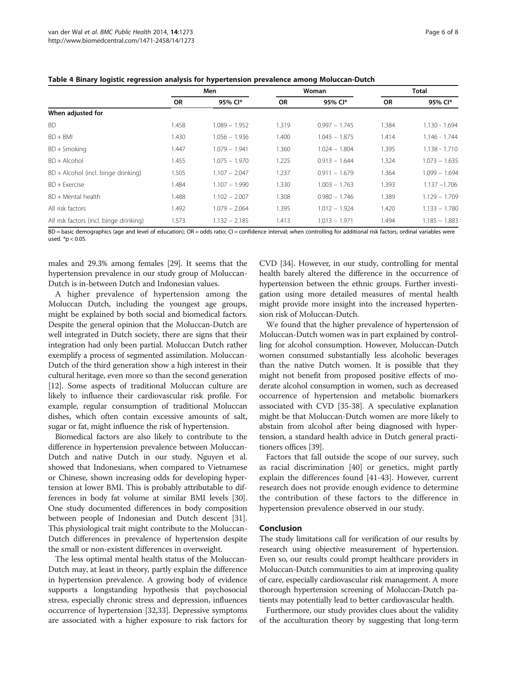<span id="page-5-0"></span>

|                                         | Men       |                 |           | Woman           | <b>Total</b> |                 |
|-----------------------------------------|-----------|-----------------|-----------|-----------------|--------------|-----------------|
|                                         | <b>OR</b> | 95% CI*         | <b>OR</b> | 95% CI*         | <b>OR</b>    | 95% CI*         |
| When adjusted for                       |           |                 |           |                 |              |                 |
| BD.                                     | 1.458     | $1.089 - 1.952$ | 1.319     | $0.997 - 1.745$ | 1.384        | $1.130 - 1.694$ |
| $BD + BMI$                              | 1.430     | $1.056 - 1.936$ | 1.400     | $1.045 - 1.875$ | 1.414        | $1.146 - 1.744$ |
| BD + Smoking                            | 1.447     | $1.079 - 1.941$ | 1.360     | $1.024 - 1.804$ | 1.395        | $1.138 - 1.710$ |
| $BD + Alcohol$                          | 1.455     | $1.075 - 1.970$ | 1.225     | $0.913 - 1.644$ | 1.324        | $1.073 - 1.635$ |
| BD + Alcohol (incl. binge drinking)     | 1.505     | $1.107 - 2.047$ | 1.237     | $0.911 - 1.679$ | 1.364        | $1.099 - 1.694$ |
| $BD + Exercise$                         | 1.484     | $1.107 - 1.990$ | 1.330     | $1.003 - 1.763$ | 1.393        | $1.137 - 1.706$ |
| BD + Mental health                      | 1.488     | $1.102 - 2.007$ | 1.308     | $0.980 - 1.746$ | 1.389        | $1.129 - 1.709$ |
| All risk factors                        | 1.492     | $1.079 - 2.064$ | 1.395     | $1.012 - 1.924$ | 1.420        | $1.133 - 1.780$ |
| All risk factors (incl. binge drinking) | 1.573     | $1.132 - 2.185$ | 1.413     | $1.013 - 1.971$ | 1.494        | $1.185 - 1.883$ |

BD = basic demographics (age and level of education); OR = odds ratio; CI = confidence interval; when controlling for additional risk factors, ordinal variables were used.  $*$ p < 0.05.

males and 29.3% among females [[29](#page-6-0)]. It seems that the hypertension prevalence in our study group of Moluccan-Dutch is in-between Dutch and Indonesian values.

A higher prevalence of hypertension among the Moluccan Dutch, including the youngest age groups, might be explained by both social and biomedical factors. Despite the general opinion that the Moluccan-Dutch are well integrated in Dutch society, there are signs that their integration had only been partial. Moluccan Dutch rather exemplify a process of segmented assimilation. Moluccan-Dutch of the third generation show a high interest in their cultural heritage, even more so than the second generation [[12](#page-6-0)]. Some aspects of traditional Moluccan culture are likely to influence their cardiovascular risk profile. For example, regular consumption of traditional Moluccan dishes, which often contain excessive amounts of salt, sugar or fat, might influence the risk of hypertension.

Biomedical factors are also likely to contribute to the difference in hypertension prevalence between Moluccan-Dutch and native Dutch in our study. Nguyen et al. showed that Indonesians, when compared to Vietnamese or Chinese, shown increasing odds for developing hypertension at lower BMI. This is probably attributable to differences in body fat volume at similar BMI levels [[30](#page-6-0)]. One study documented differences in body composition between people of Indonesian and Dutch descent [[31](#page-6-0)]. This physiological trait might contribute to the Moluccan-Dutch differences in prevalence of hypertension despite the small or non-existent differences in overweight.

The less optimal mental health status of the Moluccan-Dutch may, at least in theory, partly explain the difference in hypertension prevalence. A growing body of evidence supports a longstanding hypothesis that psychosocial stress, especially chronic stress and depression, influences occurrence of hypertension [[32,33\]](#page-6-0). Depressive symptoms are associated with a higher exposure to risk factors for

CVD [\[34\]](#page-6-0). However, in our study, controlling for mental health barely altered the difference in the occurrence of hypertension between the ethnic groups. Further investigation using more detailed measures of mental health might provide more insight into the increased hypertension risk of Moluccan-Dutch.

We found that the higher prevalence of hypertension of Moluccan-Dutch women was in part explained by controlling for alcohol consumption. However, Moluccan-Dutch women consumed substantially less alcoholic beverages than the native Dutch women. It is possible that they might not benefit from proposed positive effects of moderate alcohol consumption in women, such as decreased occurrence of hypertension and metabolic biomarkers associated with CVD [\[35-38\]](#page-7-0). A speculative explanation might be that Moluccan-Dutch women are more likely to abstain from alcohol after being diagnosed with hypertension, a standard health advice in Dutch general practitioners offices [[39](#page-7-0)].

Factors that fall outside the scope of our survey, such as racial discrimination [\[40\]](#page-7-0) or genetics, might partly explain the differences found [[41-43](#page-7-0)]. However, current research does not provide enough evidence to determine the contribution of these factors to the difference in hypertension prevalence observed in our study.

#### Conclusion

The study limitations call for verification of our results by research using objective measurement of hypertension. Even so, our results could prompt healthcare providers in Moluccan-Dutch communities to aim at improving quality of care, especially cardiovascular risk management. A more thorough hypertension screening of Moluccan-Dutch patients may potentially lead to better cardiovascular health.

Furthermore, our study provides clues about the validity of the acculturation theory by suggesting that long-term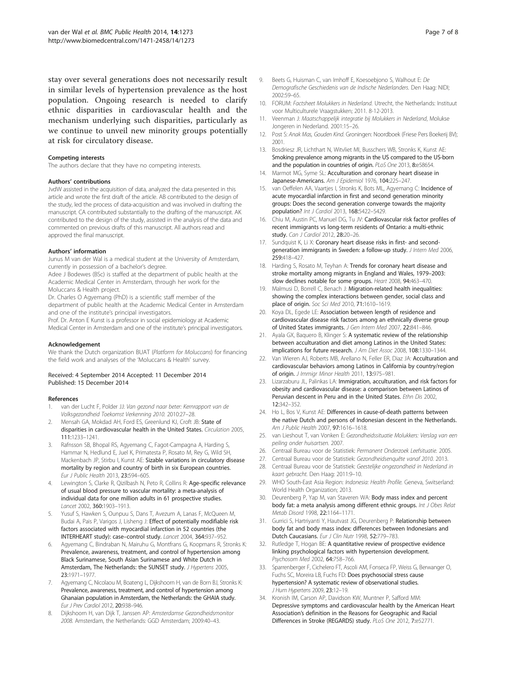<span id="page-6-0"></span>stay over several generations does not necessarily result in similar levels of hypertension prevalence as the host population. Ongoing research is needed to clarify ethnic disparities in cardiovascular health and the mechanism underlying such disparities, particularly as we continue to unveil new minority groups potentially at risk for circulatory disease.

#### Competing interests

The authors declare that they have no competing interests.

#### Authors' contributions

JvdW assisted in the acquisition of data, analyzed the data presented in this article and wrote the first draft of the article. AB contributed to the design of the study, led the process of data-acquisition and was involved in drafting the manuscript. CA contributed substantially to the drafting of the manuscript. AK contributed to the design of the study, assisted in the analysis of the data and commented on previous drafts of this manuscript. All authors read and approved the final manuscript.

#### Authors' information

Junus M van der Wal is a medical student at the University of Amsterdam, currently in possession of a bachelor's degree.

Adee J Bodewes (BSc) is staffed at the department of public health at the Academic Medical Center in Amsterdam, through her work for the Moluccans & Health project.

Dr. Charles O Agyemang (PhD) is a scientific staff member of the department of public health at the Academic Medical Center in Amsterdam and one of the institute's principal investigators.

Prof. Dr. Anton E Kunst is a professor in social epidemiology at Academic Medical Center in Amsterdam and one of the institute's principal investigators.

#### Acknowledgement

We thank the Dutch organization BUAT (Platform for Moluccans) for financing the field work and analyses of the 'Moluccans & Health' survey.

#### Received: 4 September 2014 Accepted: 11 December 2014 Published: 15 December 2014

#### References

- 1. van der Lucht F, Polder JJ: Van gezond naar beter: Kernrapport van de Volksgezondheid Toekomst Verkenning 2010. 2010:27–28.
- Mensah GA, Mokdad AH, Ford ES, Greenlund KJ, Croft JB: State of disparities in cardiovascular health in the United States. Circulation 2005, 111:1233–1241.
- Rafnsson SB, Bhopal RS, Agyemang C, Fagot-Campagna A, Harding S Hammar N, Hedlund E, Juel K, Primatesta P, Rosato M, Rey G, Wild SH, Mackenbach JP, Stirbu I, Kunst AE: Sizable variations in circulatory disease mortality by region and country of birth in six European countries. Eur J Public Health 2013, 23:594–605.
- 4. Lewington S, Clarke R, Qizilbash N, Peto R, Collins R: Age-specific relevance of usual blood pressure to vascular mortality: a meta-analysis of individual data for one million adults in 61 prospective studies. Lancet 2002, 360:1903–1913.
- 5. Yusuf S, Hawken S, Ounpuu S, Dans T, Avezum A, Lanas F, McQueen M, Budai A, Pais P, Varigos J, Lisheng J: Effect of potentially modifiable risk factors associated with myocardial infarction in 52 countries (the INTERHEART study): case–control study. Lancet 2004, 364:937–952.
- Agyemang C, Bindraban N, Mairuhu G, Montfrans G, Koopmans R, Stronks K: Prevalence, awareness, treatment, and control of hypertension among Black Surinamese, South Asian Surinamese and White Dutch in Amsterdam, The Netherlands: the SUNSET study. J Hypertens 2005, 23:1971–1977.
- Agyemang C, Nicolaou M, Boateng L, Dijkshoorn H, van de Born BJ, Stronks K: Prevalence, awareness, treatment, and control of hypertension among Ghanaian population in Amsterdam, the Netherlands: the GHAIA study. Eur J Prev Cardiol 2012, 20:938–946.
- 8. Dijkshoorn H, van Dijk T, Janssen AP: Amsterdamse Gezondheidsmonitor 2008. Amsterdam, the Netherlands: GGD Amsterdam; 2009:40–43.
- 9. Beets G, Huisman C, van Imhoff E, Koesoebjono S, Walhout E: De Demografische Geschiedenis van de Indische Nederlanders. Den Haag: NIDI; 2002:59–65.
- 10. FORUM: Factsheet Molukkers in Nederland. Utrecht, the Netherlands: Instituut voor Multiculturele Vraagstukken; 2011. 8-12-2013.
- 11. Veenman J: Maatschappelijk integratie bij Molukkers in Nederland, Molukse Jongeren in Nederland. 2001:15–26.
- 12. Post S: Anak Mas, Gouden Kind. Groningen: Noordboek (Friese Pers Boekerij BV); 2001.
- 13. Bosdriesz JR, Lichthart N, Witvliet MI, Busschers WB, Stronks K, Kunst AE: Smoking prevalence among migrants in the US compared to the US-born and the population in countries of origin. PLoS One 2013, 8:e58654.
- 14. Marmot MG, Syme SL: Acculturation and coronary heart disease in Japanese-Americans. Am J Epidemiol 1976, 104:225–247.
- 15. van Oeffelen AA, Vaartjes I, Stronks K, Bots ML, Agyemang C: Incidence of acute myocardial infarction in first and second generation minority groups: Does the second generation converge towards the majority population? Int J Cardiol 2013, 168:5422–5429.
- 16. Chiu M, Austin PC, Manuel DG, Tu JV: Cardiovascular risk factor profiles of recent immigrants vs long-term residents of Ontario: a multi-ethnic study. Can J Cardiol 2012, 28:20-26.
- 17. Sundquist K, Li X: Coronary heart disease risks in first- and secondgeneration immigrants in Sweden: a follow-up study. J Intern Med 2006, 259:418–427.
- 18. Harding S, Rosato M, Teyhan A: Trends for coronary heart disease and stroke mortality among migrants in England and Wales, 1979–2003: slow declines notable for some groups. Heart 2008, 94:463–470.
- 19. Malmusi D, Borrell C, Benach J: Migration-related health inequalities: showing the complex interactions between gender, social class and place of origin. Soc Sci Med 2010, 71:1610–1619.
- 20. Koya DL, Egede LE: Association between length of residence and cardiovascular disease risk factors among an ethnically diverse group of United States immigrants. J Gen Intern Med 2007, 22:841–846.
- 21. Ayala GX, Baquero B, Klinger S: A systematic review of the relationship between acculturation and diet among Latinos in the United States: implications for future research. J Am Diet Assoc 2008, 108:1330–1344.
- 22. Van Wieren AJ, Roberts MB, Arellano N, Feller ER, Diaz JA: Acculturation and cardiovascular behaviors among Latinos in California by country/region of origin. J Immigr Minor Health 2011, 13:975–981.
- 23. Lizarzaburu JL, Palinkas LA: Immigration, acculturation, and risk factors for obesity and cardiovascular disease: a comparison between Latinos of Peruvian descent in Peru and in the United States. Ethn Dis 2002, 12:342–352.
- 24. Ho L, Bos V, Kunst AE: Differences in cause-of-death patterns between the native Dutch and persons of Indonesian descent in the Netherlands. Am J Public Health 2007, 97:1616–1618.
- 25. van Lieshout T, van Vonken E: Gezondheidssituatie Molukkers: Verslag van een peiling onder huisartsen. 2007.
- 26. Centraal Bureau voor de Statistiek: Permanent Onderzoek Leefsituatie. 2005.
- 27. Centraal Bureau voor de Statistiek: Gezondheidsenquête vanaf 2010. 2013.
- 28. Centraal Bureau voor de Statistiek: Geestelijke ongezondheid in Nederland in kaart gebracht. Den Haag: 2011:9–10.
- 29. WHO South-East Asia Region: Indonesia: Health Profile. Geneva, Switserland: World Health Organization; 2013.
- 30. Deurenberg P, Yap M, van Staveren WA: Body mass index and percent body fat: a meta analysis among different ethnic groups. Int J Obes Relat Metab Disord 1998, 22:1164–1171.
- 31. Gurrici S, Hartriyanti Y, Hautvast JG, Deurenberg P: Relationship between body fat and body mass index: differences between Indonesians and Dutch Caucasians. Eur J Clin Nutr 1998, 52:779–783.
- 32. Rutledge T, Hogan BE: A quantitative review of prospective evidence linking psychological factors with hypertension development. Psychosom Med 2002, 64:758–766.
- 33. Sparrenberger F, Cichelero FT, Ascoli AM, Fonseca FP, Weiss G, Berwanger O, Fuchs SC, Moreira LB, Fuchs FD: Does psychosocial stress cause hypertension? A systematic review of observational studies. J Hum Hypertens 2009, 23:12–19.
- 34. Kronish IM, Carson AP, Davidson KW, Muntner P, Safford MM: Depressive symptoms and cardiovascular health by the American Heart Association's definition in the Reasons for Geographic and Racial Differences in Stroke (REGARDS) study. PLoS One 2012, 7:e52771.